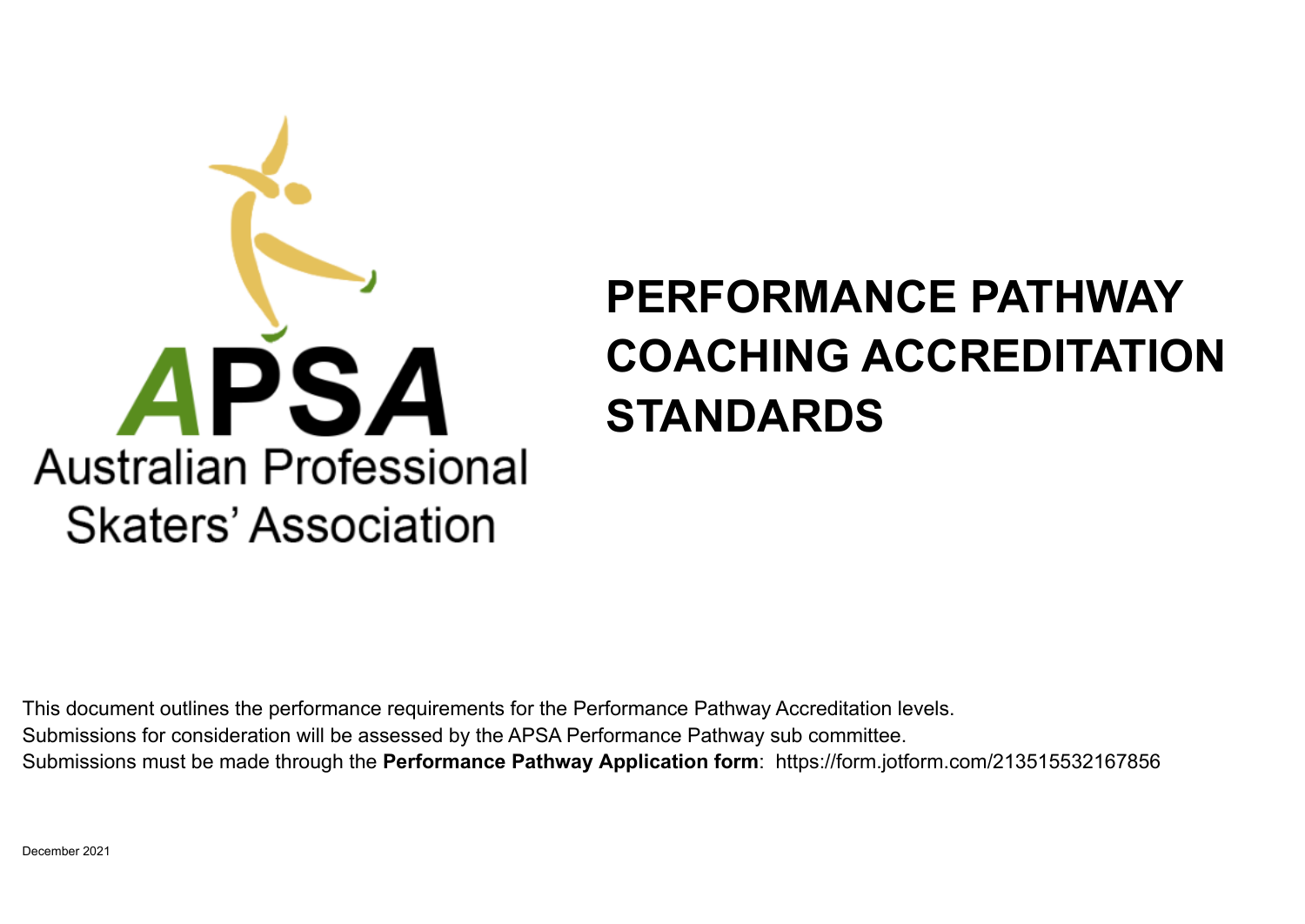## **Australian Professional Skaters' Association**

## **PERFORMANCE PATHWAY COACHING ACCREDITATION STANDARDS**

This document outlines the performance requirements for the Performance Pathway Accreditation levels. Submissions for consideration will be assessed by the APSA Performance Pathway sub committee. Submissions must be made through the **Performance Pathway Application form**: https://form.jotform.com/213515532167856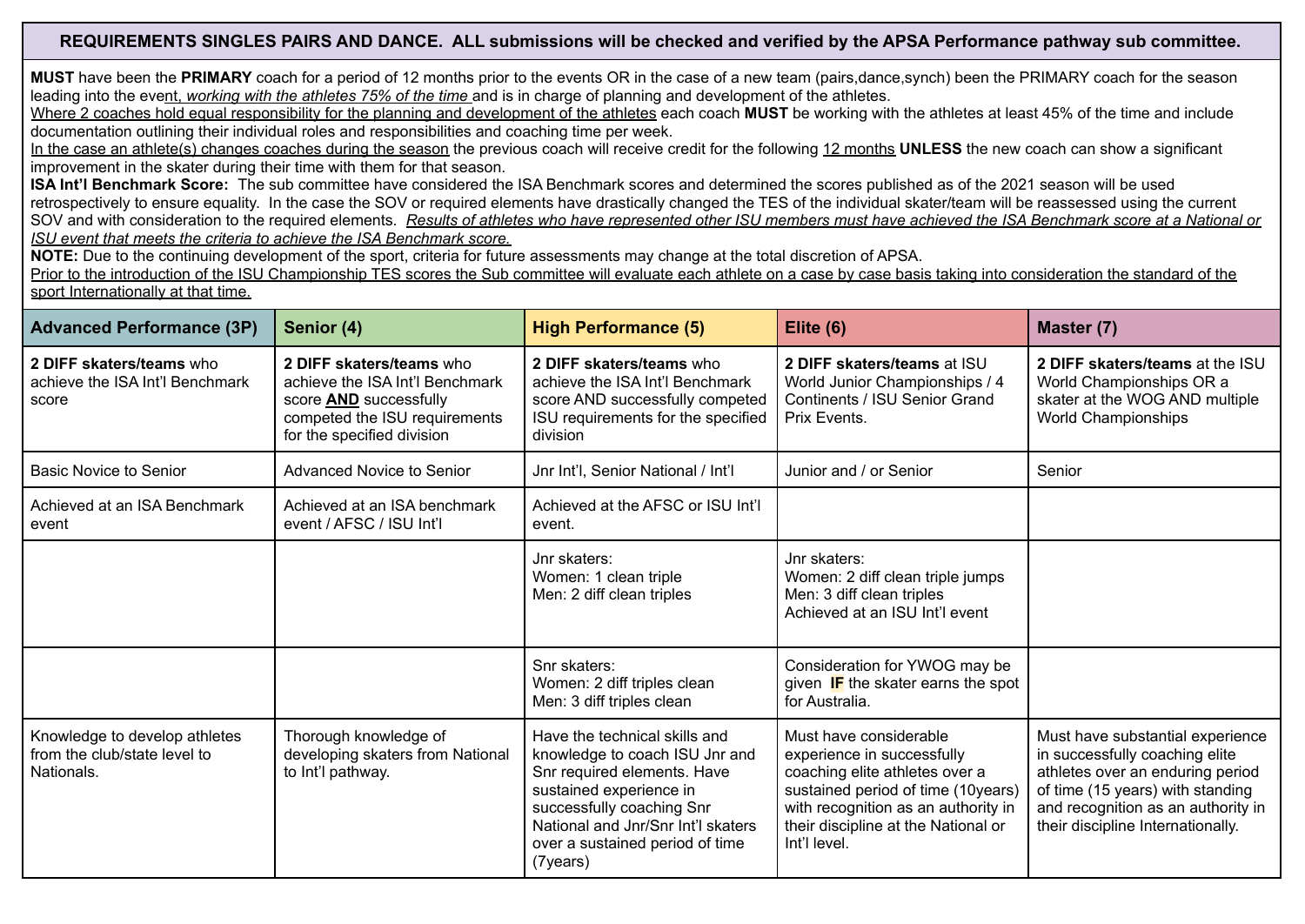## REQUIREMENTS SINGLES PAIRS AND DANCE. ALL submissions will be checked and verified by the APSA Performance pathway sub committee.

**MUST** have been the **PRIMARY** coach for a period of 12 months prior to the events OR in the case of a new team (pairs,dance,synch) been the PRIMARY coach for the season leading into the event, *working with the athletes 75% of the time* and is in charge of planning and development of the athletes.

Where 2 coaches hold equal responsibility for the planning and development of the athletes each coach **MUST** be working with the athletes at least 45% of the time and include documentation outlining their individual roles and responsibilities and coaching time per week.

In the case an athlete(s) changes coaches during the season the previous coach will receive credit for the following 12 months **UNLESS** the new coach can show a significant improvement in the skater during their time with them for that season.

**ISA Int'l Benchmark Score:** The sub committee have considered the ISA Benchmark scores and determined the scores published as of the 2021 season will be used retrospectively to ensure equality. In the case the SOV or required elements have drastically changed the TES of the individual skater/team will be reassessed using the current SOV and with consideration to the required elements. Results of athletes who have represented other ISU members must have achieved the ISA Benchmark score at a National or *ISU event that meets the criteria to achieve the ISA Benchmark score.*

**NOTE:** Due to the continuing development of the sport, criteria for future assessments may change at the total discretion of APSA.

Prior to the introduction of the ISU Championship TES scores the Sub committee will evaluate each athlete on a case by case basis taking into consideration the standard of the sport Internationally at that time.

| <b>Advanced Performance (3P)</b>                                                                                                                              | Senior (4)                                                                                                                                                  | <b>High Performance (5)</b>                                                                                                                                                                                                                 | Elite $(6)$                                                                                                                                                                                                                | Master (7)                                                                                                                                                                                                            |  |
|---------------------------------------------------------------------------------------------------------------------------------------------------------------|-------------------------------------------------------------------------------------------------------------------------------------------------------------|---------------------------------------------------------------------------------------------------------------------------------------------------------------------------------------------------------------------------------------------|----------------------------------------------------------------------------------------------------------------------------------------------------------------------------------------------------------------------------|-----------------------------------------------------------------------------------------------------------------------------------------------------------------------------------------------------------------------|--|
| 2 DIFF skaters/teams who<br>achieve the ISA Int'l Benchmark<br>score                                                                                          | 2 DIFF skaters/teams who<br>achieve the ISA Int'l Benchmark<br>score <b>AND</b> successfully<br>competed the ISU requirements<br>for the specified division | 2 DIFF skaters/teams who<br>achieve the ISA Int'l Benchmark<br>score AND successfully competed<br>ISU requirements for the specified<br>division                                                                                            | 2 DIFF skaters/teams at ISU<br>World Junior Championships / 4<br>Continents / ISU Senior Grand<br>Prix Events.                                                                                                             |                                                                                                                                                                                                                       |  |
| <b>Basic Novice to Senior</b>                                                                                                                                 | Advanced Novice to Senior                                                                                                                                   | Jnr Int'l, Senior National / Int'l                                                                                                                                                                                                          | Junior and / or Senior                                                                                                                                                                                                     | Senior                                                                                                                                                                                                                |  |
| Achieved at an ISA Benchmark<br>event                                                                                                                         | Achieved at an ISA benchmark<br>event / AFSC / ISU Int'l                                                                                                    | Achieved at the AFSC or ISU Int'l<br>event.                                                                                                                                                                                                 |                                                                                                                                                                                                                            |                                                                                                                                                                                                                       |  |
|                                                                                                                                                               |                                                                                                                                                             | Jnr skaters:<br>Women: 1 clean triple<br>Men: 2 diff clean triples                                                                                                                                                                          | Jnr skaters:<br>Women: 2 diff clean triple jumps<br>Men: 3 diff clean triples<br>Achieved at an ISU Int'l event                                                                                                            |                                                                                                                                                                                                                       |  |
|                                                                                                                                                               |                                                                                                                                                             | Snr skaters:<br>Consideration for YWOG may be<br>Women: 2 diff triples clean<br>given <b>IF</b> the skater earns the spot<br>Men: 3 diff triples clean<br>for Australia.                                                                    |                                                                                                                                                                                                                            |                                                                                                                                                                                                                       |  |
| Thorough knowledge of<br>Knowledge to develop athletes<br>from the club/state level to<br>developing skaters from National<br>Nationals.<br>to Int'l pathway. |                                                                                                                                                             | Have the technical skills and<br>knowledge to coach ISU Jnr and<br>Snr required elements. Have<br>sustained experience in<br>successfully coaching Snr<br>National and Jnr/Snr Int'l skaters<br>over a sustained period of time<br>(7years) | Must have considerable<br>experience in successfully<br>coaching elite athletes over a<br>sustained period of time (10years)<br>with recognition as an authority in<br>their discipline at the National or<br>Int'l level. | Must have substantial experience<br>in successfully coaching elite<br>athletes over an enduring period<br>of time (15 years) with standing<br>and recognition as an authority in<br>their discipline Internationally. |  |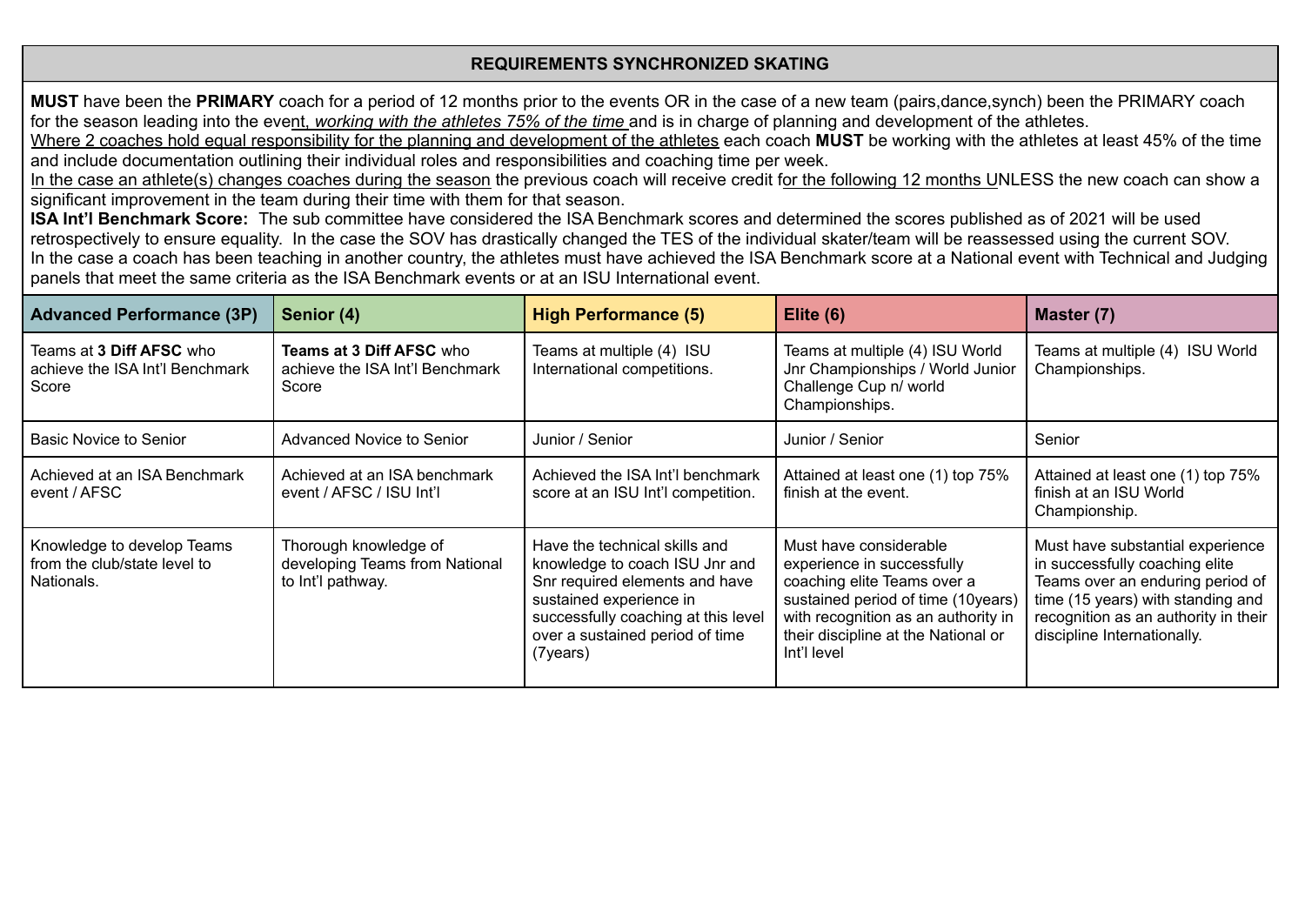## **REQUIREMENTS SYNCHRONIZED SKATING**

**MUST** have been the **PRIMARY** coach for a period of 12 months prior to the events OR in the case of a new team (pairs,dance,synch) been the PRIMARY coach for the season leading into the event, *working with the athletes 75% of the time* and is in charge of planning and development of the athletes.

Where 2 coaches hold equal responsibility for the planning and development of the athletes each coach MUST be working with the athletes at least 45% of the time and include documentation outlining their individual roles and responsibilities and coaching time per week.

In the case an athlete(s) changes coaches during the season the previous coach will receive credit for the following 12 months UNLESS the new coach can show a significant improvement in the team during their time with them for that season.

**ISA Int'l Benchmark Score:** The sub committee have considered the ISA Benchmark scores and determined the scores published as of 2021 will be used retrospectively to ensure equality. In the case the SOV has drastically changed the TES of the individual skater/team will be reassessed using the current SOV. In the case a coach has been teaching in another country, the athletes must have achieved the ISA Benchmark score at a National event with Technical and Judging panels that meet the same criteria as the ISA Benchmark events or at an ISU International event.

| <b>Advanced Performance (3P)</b>                                         | Senior (4)                                                                   | <b>High Performance (5)</b>                                                                                                                                                                                        | Elite $(6)$                                                                                                                                                                                                            | Master (7)                                                                                                                                                                                                         |  |
|--------------------------------------------------------------------------|------------------------------------------------------------------------------|--------------------------------------------------------------------------------------------------------------------------------------------------------------------------------------------------------------------|------------------------------------------------------------------------------------------------------------------------------------------------------------------------------------------------------------------------|--------------------------------------------------------------------------------------------------------------------------------------------------------------------------------------------------------------------|--|
| Teams at 3 Diff AFSC who<br>achieve the ISA Int'l Benchmark<br>Score     | <b>Teams at 3 Diff AFSC who</b><br>achieve the ISA Int'l Benchmark<br>Score  | Teams at multiple (4) ISU<br>International competitions.                                                                                                                                                           | Teams at multiple (4) ISU World<br>Jnr Championships / World Junior<br>Challenge Cup n/ world<br>Championships.                                                                                                        | Teams at multiple (4) ISU World<br>Championships.                                                                                                                                                                  |  |
| Basic Novice to Senior                                                   | Advanced Novice to Senior                                                    | Junior / Senior                                                                                                                                                                                                    | Junior / Senior                                                                                                                                                                                                        |                                                                                                                                                                                                                    |  |
| Achieved at an ISA Benchmark<br>event / AFSC                             | Achieved at an ISA benchmark<br>event / AFSC / ISU Int'l                     | Achieved the ISA Int'l benchmark<br>Attained at least one (1) top 75%<br>finish at the event.<br>score at an ISU Int'l competition.                                                                                |                                                                                                                                                                                                                        | Attained at least one (1) top 75%<br>finish at an ISU World<br>Championship.                                                                                                                                       |  |
| Knowledge to develop Teams<br>from the club/state level to<br>Nationals. | Thorough knowledge of<br>developing Teams from National<br>to Int'l pathway. | Have the technical skills and<br>knowledge to coach ISU Jnr and<br>Snr required elements and have<br>sustained experience in<br>successfully coaching at this level<br>over a sustained period of time<br>(7years) | Must have considerable<br>experience in successfully<br>coaching elite Teams over a<br>sustained period of time (10years)<br>with recognition as an authority in<br>their discipline at the National or<br>Int'l level | Must have substantial experience<br>in successfully coaching elite<br>Teams over an enduring period of<br>time (15 years) with standing and<br>recognition as an authority in their<br>discipline Internationally. |  |